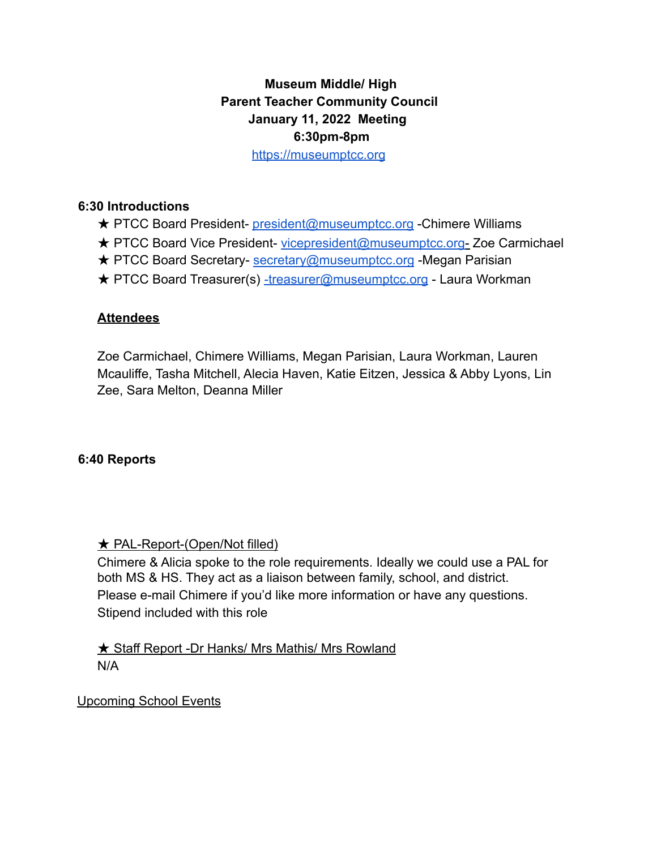# **Museum Middle/ High Parent Teacher Community Council January 11, 2022 Meeting 6:30pm-8pm**

https://museumptcc.org

#### **6:30 Introductions**

- **★ PTCC Board President-** president@museumptcc.org -Chimere Williams
- **★ PTCC Board Vice President- vicepresident@museumptcc.org- Zoe Carmichael**
- **★ PTCC Board Secretary-** secretary@museumptcc.org -Megan Parisian
- **★ PTCC Board Treasurer(s)** -treasurer@museumptcc.org Laura Workman

## **Attendees**

Zoe Carmichael, Chimere Williams, Megan Parisian, Laura Workman, Lauren Mcauliffe, Tasha Mitchell, Alecia Haven, Katie Eitzen, Jessica & Abby Lyons, Lin Zee, Sara Melton, Deanna Miller

#### **6:40 Reports**

# ★ PAL-Report-(Open/Not filled)

Chimere & Alicia spoke to the role requirements. Ideally we could use a PAL for both MS & HS. They act as a liaison between family, school, and district. Please e-mail Chimere if you'd like more information or have any questions. Stipend included with this role

**★ Staff Report -Dr Hanks/ Mrs Mathis/ Mrs Rowland** N/A

Upcoming School Events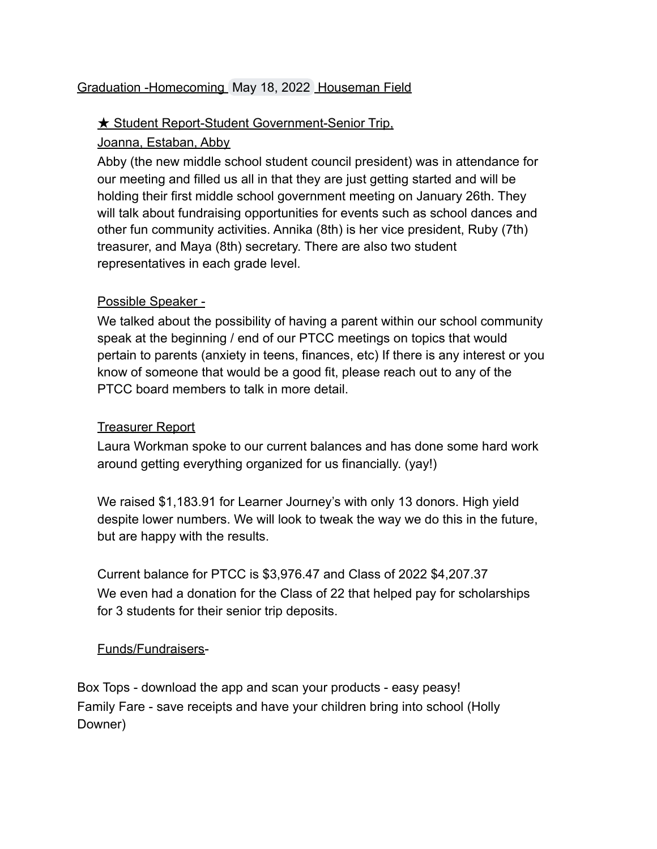#### Graduation -Homecoming May 18, 2022 Houseman Field

## ★ Student Report-Student Government-Senior Trip,

#### Joanna, Estaban, Abby

Abby (the new middle school student council president) was in attendance for our meeting and filled us all in that they are just getting started and will be holding their first middle school government meeting on January 26th. They will talk about fundraising opportunities for events such as school dances and other fun community activities. Annika (8th) is her vice president, Ruby (7th) treasurer, and Maya (8th) secretary. There are also two student representatives in each grade level.

#### Possible Speaker -

We talked about the possibility of having a parent within our school community speak at the beginning / end of our PTCC meetings on topics that would pertain to parents (anxiety in teens, finances, etc) If there is any interest or you know of someone that would be a good fit, please reach out to any of the PTCC board members to talk in more detail.

#### Treasurer Report

Laura Workman spoke to our current balances and has done some hard work around getting everything organized for us financially. (yay!)

We raised \$1,183.91 for Learner Journey's with only 13 donors. High yield despite lower numbers. We will look to tweak the way we do this in the future, but are happy with the results.

Current balance for PTCC is \$3,976.47 and Class of 2022 \$4,207.37 We even had a donation for the Class of 22 that helped pay for scholarships for 3 students for their senior trip deposits.

# Funds/Fundraisers-

Box Tops - download the app and scan your products - easy peasy! Family Fare - save receipts and have your children bring into school (Holly Downer)